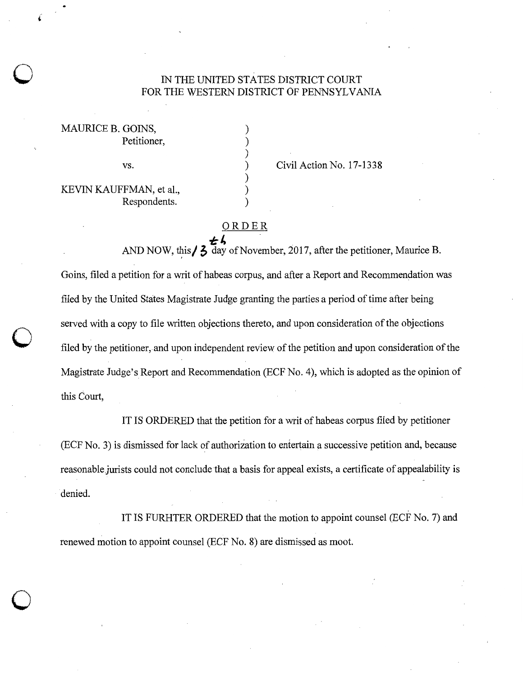## IN THE UNITED STATES DISTRICT COURT FOR THE WESTERN DISTRICT OF PENNSYLVANIA

Goine v. Kauffman doc. 9 Anii 100 Anii 110 Anii 120 Anii 130 Anii 140 Anii 150 Anii 160 Anii 170 Anii 180 Anii

) ) ) ) ) ) )

| MAURICE B. GOINS,       |              |
|-------------------------|--------------|
|                         | Petitioner,  |
|                         |              |
|                         | VS.          |
|                         |              |
| KEVIN KAUFFMAN, et al., |              |
|                         | Respondents. |

 $\bigcirc$ 

 $\bigcirc$ 

 $\bigcirc$ 

Civil Action No. 17-1338

## ORDER T:4 . .

AND NOW, this  $/ 3$  day of November, 2017, after the petitioner, Maurice B. Goins, filed a petition for a writ of habeas corpus, and after a Report and Recommendation was filed by the United States Magistrate Judge granting the parties a period of time after being served with a copy to file written objections thereto, and upon consideration of the objections filed by the petitioner, and upon independent review of the petition and upon consideration of the Magistrate Judge's Report and Recommendation (ECF No. 4), which is adopted as the opinion of this Court,

IT IS ORDERED that the petition for a writ of habeas corpus filed by petitioner (ECF No. 3) is dismissed for lack of authorization to entertain a successive petition and, because reasonable.jurists could not conclude that a basis for appeal exists, a certificate of appealability is denied.

IT IS FURHTER ORDERED that the motion to appoint counsel (ECF No. 7) and renewed motion to appoint counsel (ECF No. 8) are dismissed as moot.